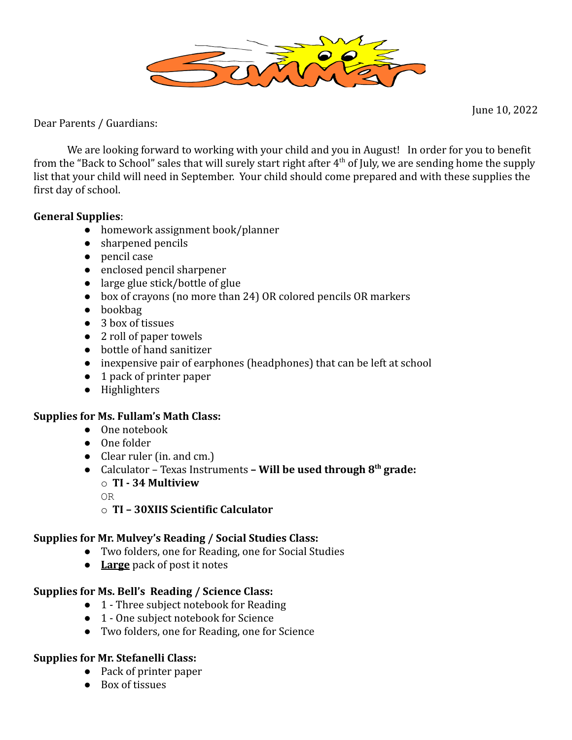

June 10, 2022

Dear Parents / Guardians:

We are looking forward to working with your child and you in August! In order for you to benefit from the "Back to School" sales that will surely start right after 4th of July, we are sending home the supply list that your child will need in September. Your child should come prepared and with these supplies the first day of school.

## **General Supplies**:

- homework assignment book/planner
- sharpened pencils
- pencil case
- enclosed pencil sharpener
- large glue stick/bottle of glue
- box of crayons (no more than 24) OR colored pencils OR markers
- **●** bookbag
- 3 box of tissues
- 2 roll of paper towels
- bottle of hand sanitizer
- inexpensive pair of earphones (headphones) that can be left at school
- 1 pack of printer paper
- Highlighters

## **Supplies for Ms. Fullam's Math Class:**

- One notebook
- One folder
- Clear ruler (in. and cm.)
- Calculator Texas Instruments  **Will be used through 8 th grade:** o **TI - 34 Multiview**
	- OR
	- o **TI 30XIIS Scientific Calculator**

## **Supplies for Mr. Mulvey's Reading / Social Studies Class:**

- Two folders, one for Reading, one for Social Studies
- **Large** pack of post it notes

## **Supplies for Ms. Bell's Reading / Science Class:**

- 1 Three subject notebook for Reading
- 1 One subject notebook for Science
- Two folders, one for Reading, one for Science

## **Supplies for Mr. Stefanelli Class:**

- Pack of printer paper
- Box of tissues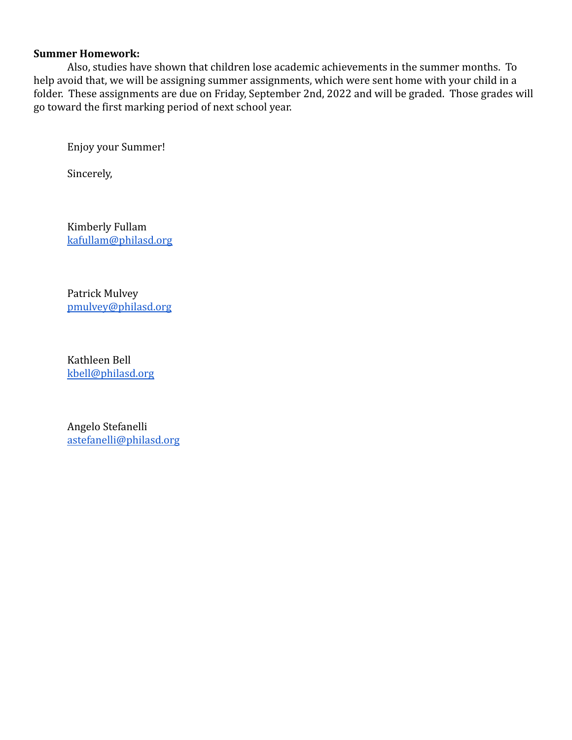# **Summer Homework:**

Also, studies have shown that children lose academic achievements in the summer months. To help avoid that, we will be assigning summer assignments, which were sent home with your child in a folder. These assignments are due on Friday, September 2nd, 2022 and will be graded. Those grades will go toward the first marking period of next school year.

Enjoy your Summer!

Sincerely,

Kimberly Fullam [kafullam@philasd.org](mailto:katurner@philasd.org)

Patrick Mulvey [pmulvey@philasd.org](mailto:pmulvey@philasd.org)

Kathleen Bell [kbell@philasd.org](mailto:katurner@philasd.org)

Angelo Stefanelli [astefanelli@philasd.org](mailto:astefanelli@philasd.org)